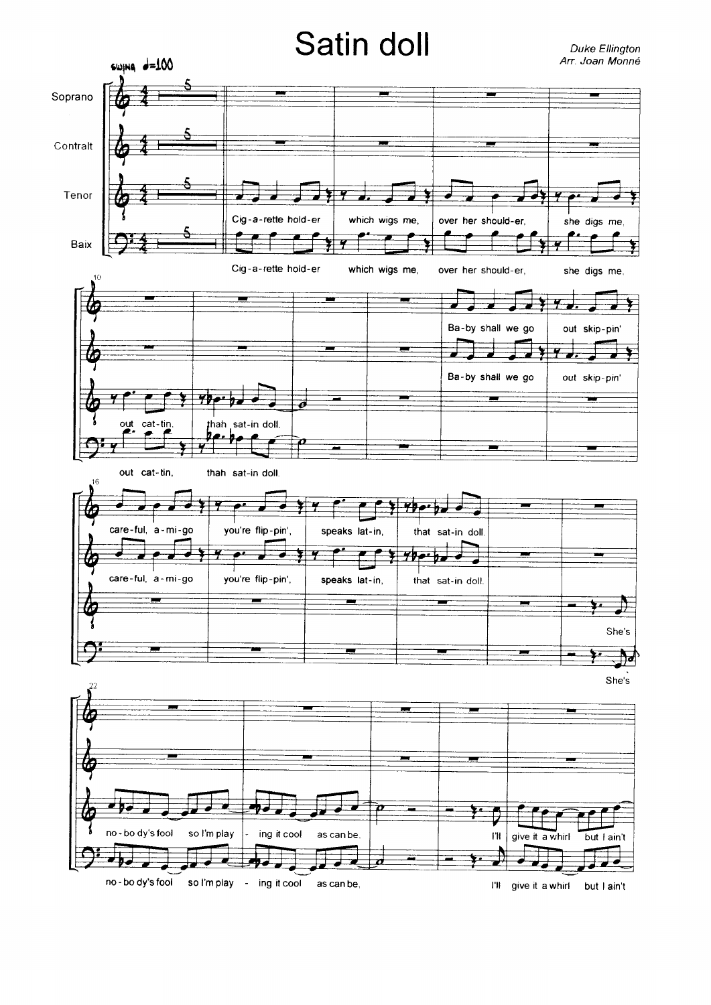## Satin doll

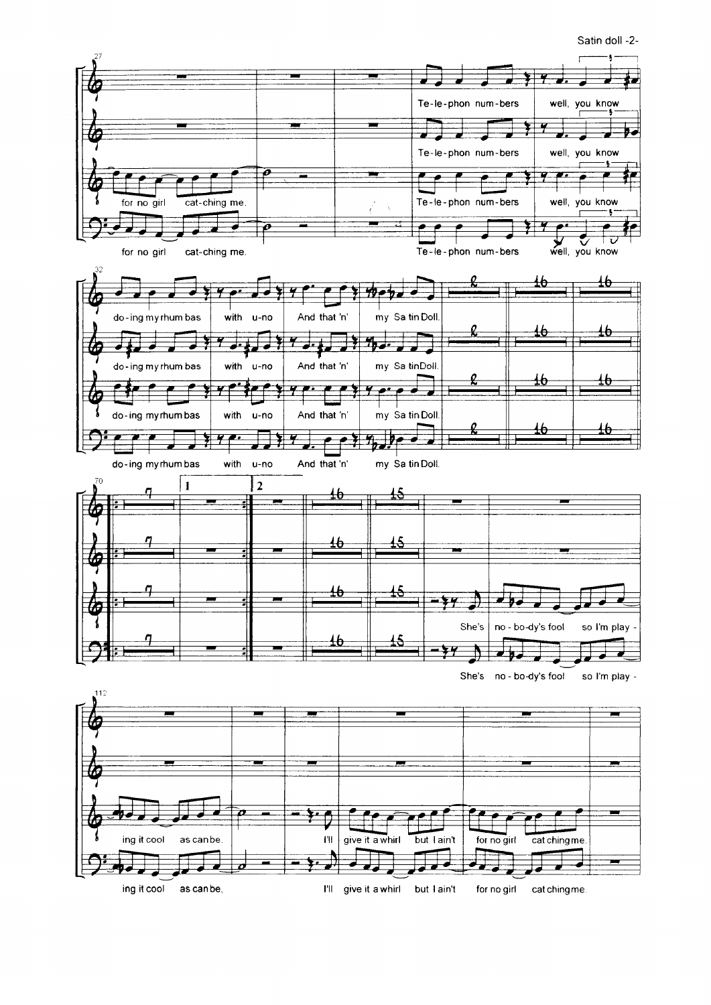